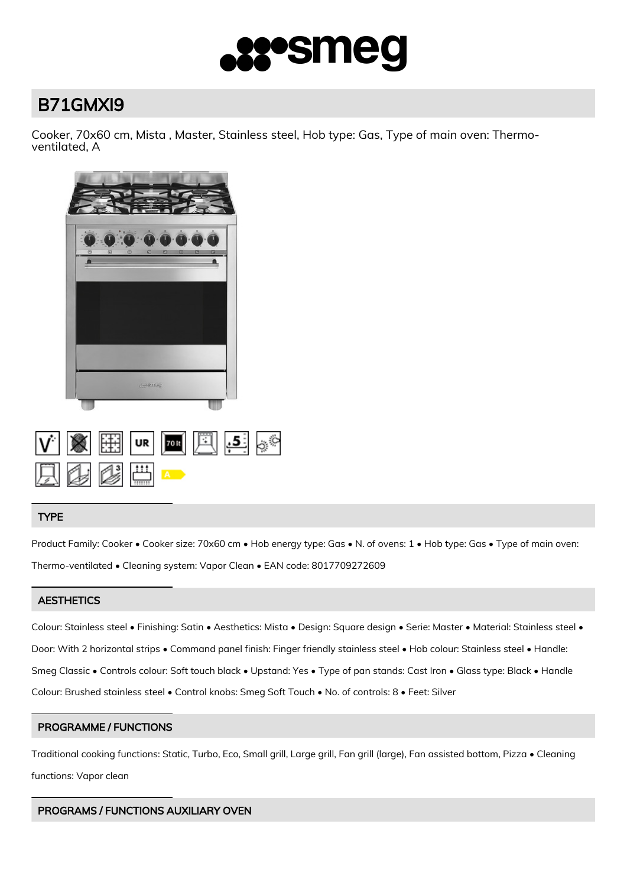

# B71GMXI9

Cooker, 70x60 cm, Mista , Master, Stainless steel, Hob type: Gas, Type of main oven: Thermoventilated, A



| $\overline{V}$ $\overline{S}$ $\overline{E}$ $\overline{u}$ $\overline{v}$ $\overline{E}$ $\overline{S}$ $\overline{S}$ |  |  |  |
|-------------------------------------------------------------------------------------------------------------------------|--|--|--|
| 夏季ぴ曲一                                                                                                                   |  |  |  |

# TYPE

Product Family: Cooker • Cooker size: 70x60 cm • Hob energy type: Gas • N. of ovens: 1 • Hob type: Gas • Type of main oven: Thermo-ventilated • Cleaning system: Vapor Clean • EAN code: 8017709272609

# **AESTHETICS**

Colour: Stainless steel • Finishing: Satin • Aesthetics: Mista • Design: Square design • Serie: Master • Material: Stainless steel • Door: With 2 horizontal strips • Command panel finish: Finger friendly stainless steel • Hob colour: Stainless steel • Handle: Smeg Classic • Controls colour: Soft touch black • Upstand: Yes • Type of pan stands: Cast Iron • Glass type: Black • Handle Colour: Brushed stainless steel • Control knobs: Smeg Soft Touch • No. of controls: 8 • Feet: Silver

# PROGRAMME / FUNCTIONS

Traditional cooking functions: Static, Turbo, Eco, Small grill, Large grill, Fan grill (large), Fan assisted bottom, Pizza • Cleaning functions: Vapor clean

# PROGRAMS / FUNCTIONS AUXILIARY OVEN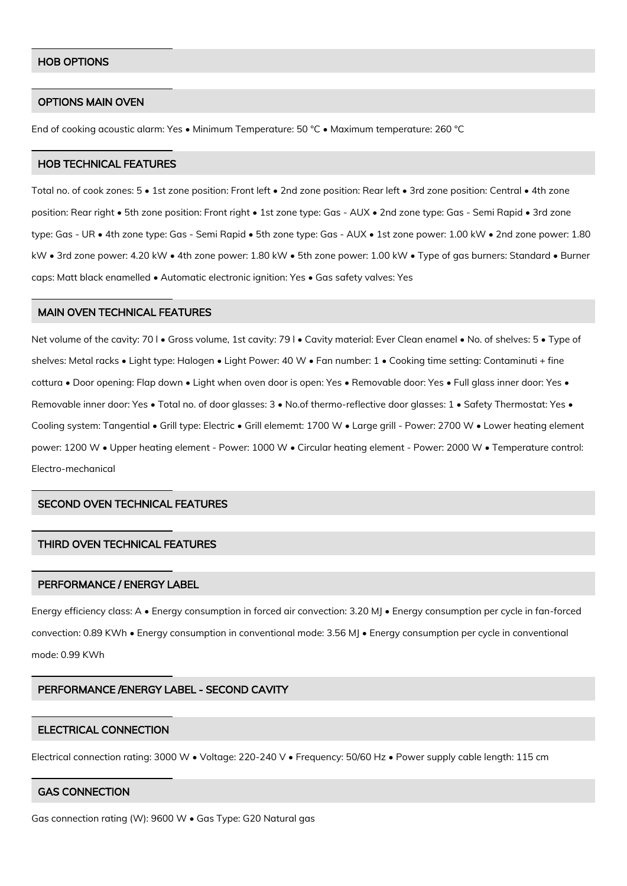#### HOB OPTIONS

#### OPTIONS MAIN OVEN

End of cooking acoustic alarm: Yes • Minimum Temperature: 50 °C • Maximum temperature: 260 °C

#### HOB TECHNICAL FEATURES

Total no. of cook zones: 5 • 1st zone position: Front left • 2nd zone position: Rear left • 3rd zone position: Central • 4th zone position: Rear right • 5th zone position: Front right • 1st zone type: Gas - AUX • 2nd zone type: Gas - Semi Rapid • 3rd zone type: Gas - UR • 4th zone type: Gas - Semi Rapid • 5th zone type: Gas - AUX • 1st zone power: 1.00 kW • 2nd zone power: 1.80 kW • 3rd zone power: 4.20 kW • 4th zone power: 1.80 kW • 5th zone power: 1.00 kW • Type of gas burners: Standard • Burner caps: Matt black enamelled • Automatic electronic ignition: Yes • Gas safety valves: Yes

#### MAIN OVEN TECHNICAL FEATURES

Net volume of the cavity: 70 l • Gross volume, 1st cavity: 79 l • Cavity material: Ever Clean enamel • No. of shelves: 5 • Type of shelves: Metal racks • Light type: Halogen • Light Power: 40 W • Fan number: 1 • Cooking time setting: Contaminuti + fine cottura • Door opening: Flap down • Light when oven door is open: Yes • Removable door: Yes • Full glass inner door: Yes • Removable inner door: Yes • Total no. of door glasses: 3 • No.of thermo-reflective door glasses: 1 • Safety Thermostat: Yes • Cooling system: Tangential • Grill type: Electric • Grill elememt: 1700 W • Large grill - Power: 2700 W • Lower heating element power: 1200 W • Upper heating element - Power: 1000 W • Circular heating element - Power: 2000 W • Temperature control: Electro-mechanical

## SECOND OVEN TECHNICAL FEATURES

## THIRD OVEN TECHNICAL FEATURES

#### PERFORMANCE / ENERGY LABEL

Energy efficiency class: A • Energy consumption in forced air convection: 3.20 MJ • Energy consumption per cycle in fan-forced convection: 0.89 KWh • Energy consumption in conventional mode: 3.56 MJ • Energy consumption per cycle in conventional mode: 0.99 KWh

#### PERFORMANCE /ENERGY LABEL - SECOND CAVITY

#### ELECTRICAL CONNECTION

Electrical connection rating: 3000 W • Voltage: 220-240 V • Frequency: 50/60 Hz • Power supply cable length: 115 cm

#### GAS CONNECTION

Gas connection rating (W): 9600 W • Gas Type: G20 Natural gas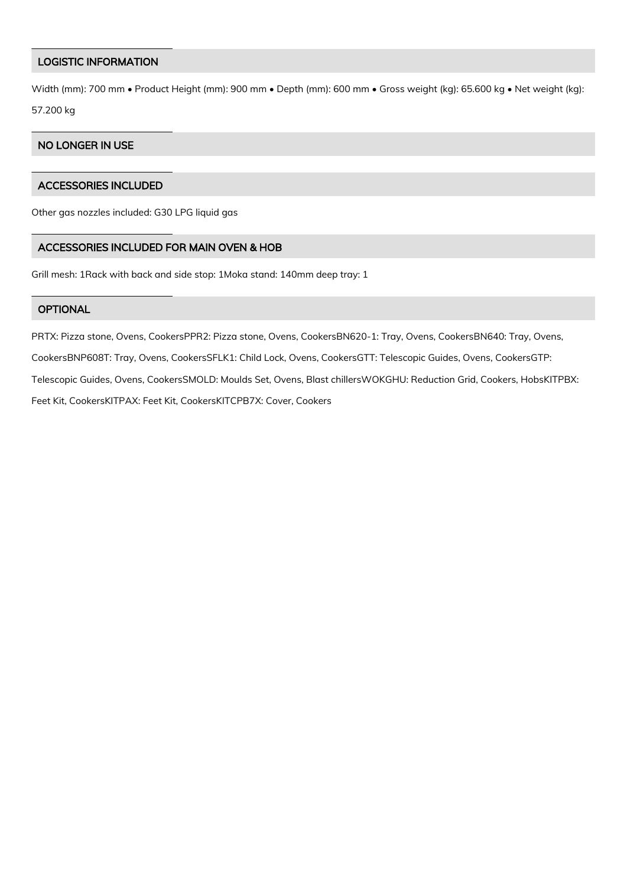## LOGISTIC INFORMATION

Width (mm): 700 mm • Product Height (mm): 900 mm • Depth (mm): 600 mm • Gross weight (kg): 65.600 kg • Net weight (kg): 57.200 kg

## NO LONGER IN USE

# ACCESSORIES INCLUDED

Other gas nozzles included: G30 LPG liquid gas

# ACCESSORIES INCLUDED FOR MAIN OVEN & HOB

Grill mesh: 1Rack with back and side stop: 1Moka stand: 140mm deep tray: 1

## **OPTIONAL**

PRTX: Pizza stone, Ovens, CookersPPR2: Pizza stone, Ovens, CookersBN620-1: Tray, Ovens, CookersBN640: Tray, Ovens, CookersBNP608T: Tray, Ovens, CookersSFLK1: Child Lock, Ovens, CookersGTT: Telescopic Guides, Ovens, CookersGTP: Telescopic Guides, Ovens, CookersSMOLD: Moulds Set, Ovens, Blast chillersWOKGHU: Reduction Grid, Cookers, HobsKITPBX: Feet Kit, CookersKITPAX: Feet Kit, CookersKITCPB7X: Cover, Cookers